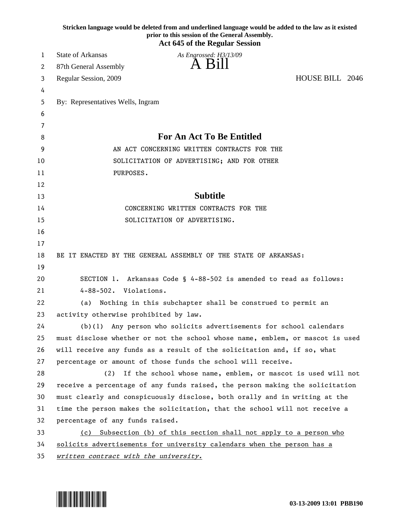| Stricken language would be deleted from and underlined language would be added to the law as it existed<br>prior to this session of the General Assembly.<br><b>Act 645 of the Regular Session</b> |                                                                               |  |  |  |  |  |
|----------------------------------------------------------------------------------------------------------------------------------------------------------------------------------------------------|-------------------------------------------------------------------------------|--|--|--|--|--|
| 1                                                                                                                                                                                                  | <b>State of Arkansas</b><br>As Engrossed: H3/13/09                            |  |  |  |  |  |
| 2                                                                                                                                                                                                  | 87th General Assembly                                                         |  |  |  |  |  |
| 3                                                                                                                                                                                                  | HOUSE BILL 2046<br>Regular Session, 2009                                      |  |  |  |  |  |
| 4                                                                                                                                                                                                  |                                                                               |  |  |  |  |  |
| 5                                                                                                                                                                                                  | By: Representatives Wells, Ingram                                             |  |  |  |  |  |
| 6                                                                                                                                                                                                  |                                                                               |  |  |  |  |  |
| 7                                                                                                                                                                                                  |                                                                               |  |  |  |  |  |
| 8                                                                                                                                                                                                  | For An Act To Be Entitled                                                     |  |  |  |  |  |
| 9                                                                                                                                                                                                  | AN ACT CONCERNING WRITTEN CONTRACTS FOR THE                                   |  |  |  |  |  |
| 10                                                                                                                                                                                                 | SOLICITATION OF ADVERTISING; AND FOR OTHER                                    |  |  |  |  |  |
| 11                                                                                                                                                                                                 | PURPOSES.                                                                     |  |  |  |  |  |
| 12                                                                                                                                                                                                 |                                                                               |  |  |  |  |  |
| 13                                                                                                                                                                                                 | <b>Subtitle</b>                                                               |  |  |  |  |  |
| 14                                                                                                                                                                                                 | CONCERNING WRITTEN CONTRACTS FOR THE                                          |  |  |  |  |  |
| 15                                                                                                                                                                                                 | SOLICITATION OF ADVERTISING.                                                  |  |  |  |  |  |
| 16                                                                                                                                                                                                 |                                                                               |  |  |  |  |  |
| 17                                                                                                                                                                                                 |                                                                               |  |  |  |  |  |
| 18                                                                                                                                                                                                 | BE IT ENACTED BY THE GENERAL ASSEMBLY OF THE STATE OF ARKANSAS:               |  |  |  |  |  |
| 19                                                                                                                                                                                                 |                                                                               |  |  |  |  |  |
| 20                                                                                                                                                                                                 | SECTION 1. Arkansas Code § 4-88-502 is amended to read as follows:            |  |  |  |  |  |
| 21                                                                                                                                                                                                 | 4-88-502. Violations.                                                         |  |  |  |  |  |
| 22                                                                                                                                                                                                 | Nothing in this subchapter shall be construed to permit an<br>(a)             |  |  |  |  |  |
| 23                                                                                                                                                                                                 | activity otherwise prohibited by law.                                         |  |  |  |  |  |
| 24                                                                                                                                                                                                 | (b)(1) Any person who solicits advertisements for school calendars            |  |  |  |  |  |
| 25                                                                                                                                                                                                 | must disclose whether or not the school whose name, emblem, or mascot is used |  |  |  |  |  |
| 26                                                                                                                                                                                                 | will receive any funds as a result of the solicitation and, if so, what       |  |  |  |  |  |
| 27                                                                                                                                                                                                 | percentage or amount of those funds the school will receive.                  |  |  |  |  |  |
| 28                                                                                                                                                                                                 | If the school whose name, emblem, or mascot is used will not<br>(2)           |  |  |  |  |  |
| 29                                                                                                                                                                                                 | receive a percentage of any funds raised, the person making the solicitation  |  |  |  |  |  |
| 30                                                                                                                                                                                                 | must clearly and conspicuously disclose, both orally and in writing at the    |  |  |  |  |  |
| 31                                                                                                                                                                                                 | time the person makes the solicitation, that the school will not receive a    |  |  |  |  |  |
| 32                                                                                                                                                                                                 | percentage of any funds raised.                                               |  |  |  |  |  |
| 33                                                                                                                                                                                                 | Subsection (b) of this section shall not apply to a person who<br>(c)         |  |  |  |  |  |
| 34                                                                                                                                                                                                 | solicits advertisements for university calendars when the person has a        |  |  |  |  |  |
| 35                                                                                                                                                                                                 | written contract with the university.                                         |  |  |  |  |  |